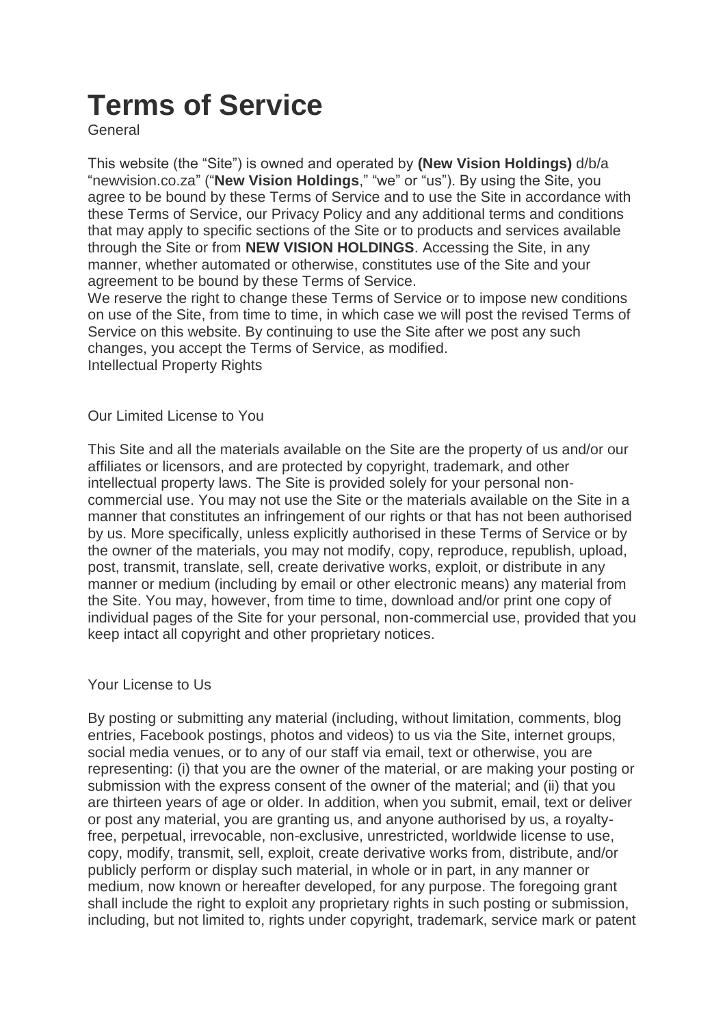# **Terms of Service**

General

This website (the "Site") is owned and operated by **(New Vision Holdings)** d/b/a "newvision.co.za" ("**New Vision Holdings**," "we" or "us"). By using the Site, you agree to be bound by these Terms of Service and to use the Site in accordance with these Terms of Service, our Privacy Policy and any additional terms and conditions that may apply to specific sections of the Site or to products and services available through the Site or from **NEW VISION HOLDINGS**. Accessing the Site, in any manner, whether automated or otherwise, constitutes use of the Site and your agreement to be bound by these Terms of Service.

We reserve the right to change these Terms of Service or to impose new conditions on use of the Site, from time to time, in which case we will post the revised Terms of Service on this website. By continuing to use the Site after we post any such changes, you accept the Terms of Service, as modified. Intellectual Property Rights

Our Limited License to You

This Site and all the materials available on the Site are the property of us and/or our affiliates or licensors, and are protected by copyright, trademark, and other intellectual property laws. The Site is provided solely for your personal noncommercial use. You may not use the Site or the materials available on the Site in a manner that constitutes an infringement of our rights or that has not been authorised by us. More specifically, unless explicitly authorised in these Terms of Service or by the owner of the materials, you may not modify, copy, reproduce, republish, upload, post, transmit, translate, sell, create derivative works, exploit, or distribute in any manner or medium (including by email or other electronic means) any material from the Site. You may, however, from time to time, download and/or print one copy of individual pages of the Site for your personal, non-commercial use, provided that you keep intact all copyright and other proprietary notices.

Your License to Us

By posting or submitting any material (including, without limitation, comments, blog entries, Facebook postings, photos and videos) to us via the Site, internet groups, social media venues, or to any of our staff via email, text or otherwise, you are representing: (i) that you are the owner of the material, or are making your posting or submission with the express consent of the owner of the material; and (ii) that you are thirteen years of age or older. In addition, when you submit, email, text or deliver or post any material, you are granting us, and anyone authorised by us, a royaltyfree, perpetual, irrevocable, non-exclusive, unrestricted, worldwide license to use, copy, modify, transmit, sell, exploit, create derivative works from, distribute, and/or publicly perform or display such material, in whole or in part, in any manner or medium, now known or hereafter developed, for any purpose. The foregoing grant shall include the right to exploit any proprietary rights in such posting or submission, including, but not limited to, rights under copyright, trademark, service mark or patent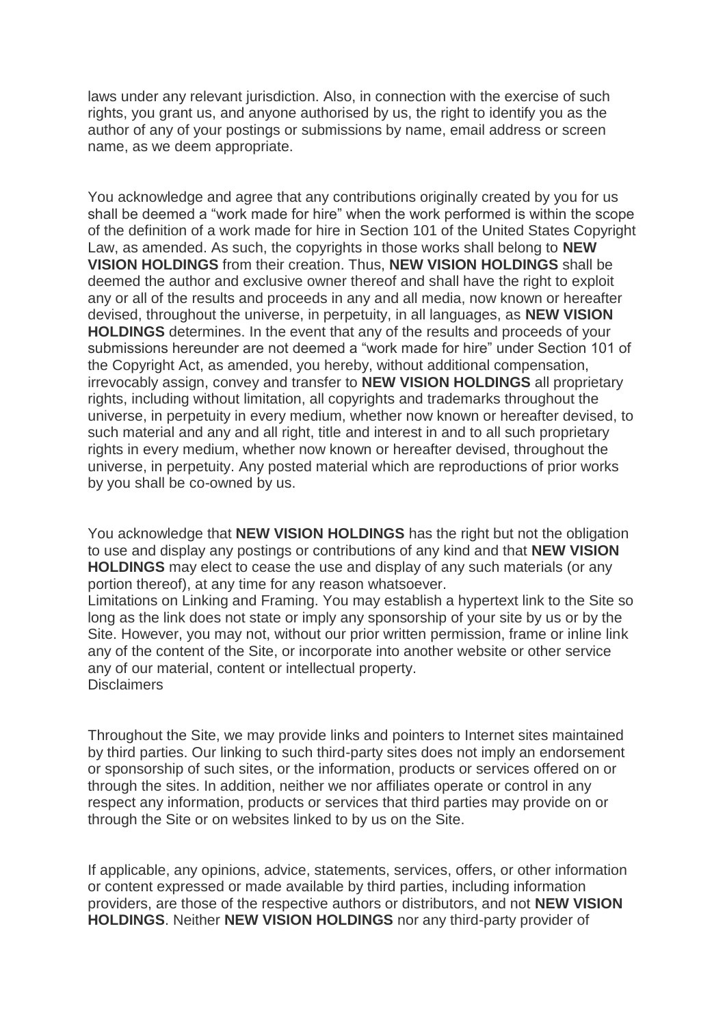laws under any relevant jurisdiction. Also, in connection with the exercise of such rights, you grant us, and anyone authorised by us, the right to identify you as the author of any of your postings or submissions by name, email address or screen name, as we deem appropriate.

You acknowledge and agree that any contributions originally created by you for us shall be deemed a "work made for hire" when the work performed is within the scope of the definition of a work made for hire in Section 101 of the United States Copyright Law, as amended. As such, the copyrights in those works shall belong to **NEW VISION HOLDINGS** from their creation. Thus, **NEW VISION HOLDINGS** shall be deemed the author and exclusive owner thereof and shall have the right to exploit any or all of the results and proceeds in any and all media, now known or hereafter devised, throughout the universe, in perpetuity, in all languages, as **NEW VISION HOLDINGS** determines. In the event that any of the results and proceeds of your submissions hereunder are not deemed a "work made for hire" under Section 101 of the Copyright Act, as amended, you hereby, without additional compensation, irrevocably assign, convey and transfer to **NEW VISION HOLDINGS** all proprietary rights, including without limitation, all copyrights and trademarks throughout the universe, in perpetuity in every medium, whether now known or hereafter devised, to such material and any and all right, title and interest in and to all such proprietary rights in every medium, whether now known or hereafter devised, throughout the universe, in perpetuity. Any posted material which are reproductions of prior works by you shall be co-owned by us.

You acknowledge that **NEW VISION HOLDINGS** has the right but not the obligation to use and display any postings or contributions of any kind and that **NEW VISION HOLDINGS** may elect to cease the use and display of any such materials (or any portion thereof), at any time for any reason whatsoever.

Limitations on Linking and Framing. You may establish a hypertext link to the Site so long as the link does not state or imply any sponsorship of your site by us or by the Site. However, you may not, without our prior written permission, frame or inline link any of the content of the Site, or incorporate into another website or other service any of our material, content or intellectual property. Disclaimers

Throughout the Site, we may provide links and pointers to Internet sites maintained by third parties. Our linking to such third-party sites does not imply an endorsement or sponsorship of such sites, or the information, products or services offered on or through the sites. In addition, neither we nor affiliates operate or control in any respect any information, products or services that third parties may provide on or through the Site or on websites linked to by us on the Site.

If applicable, any opinions, advice, statements, services, offers, or other information or content expressed or made available by third parties, including information providers, are those of the respective authors or distributors, and not **NEW VISION HOLDINGS**. Neither **NEW VISION HOLDINGS** nor any third-party provider of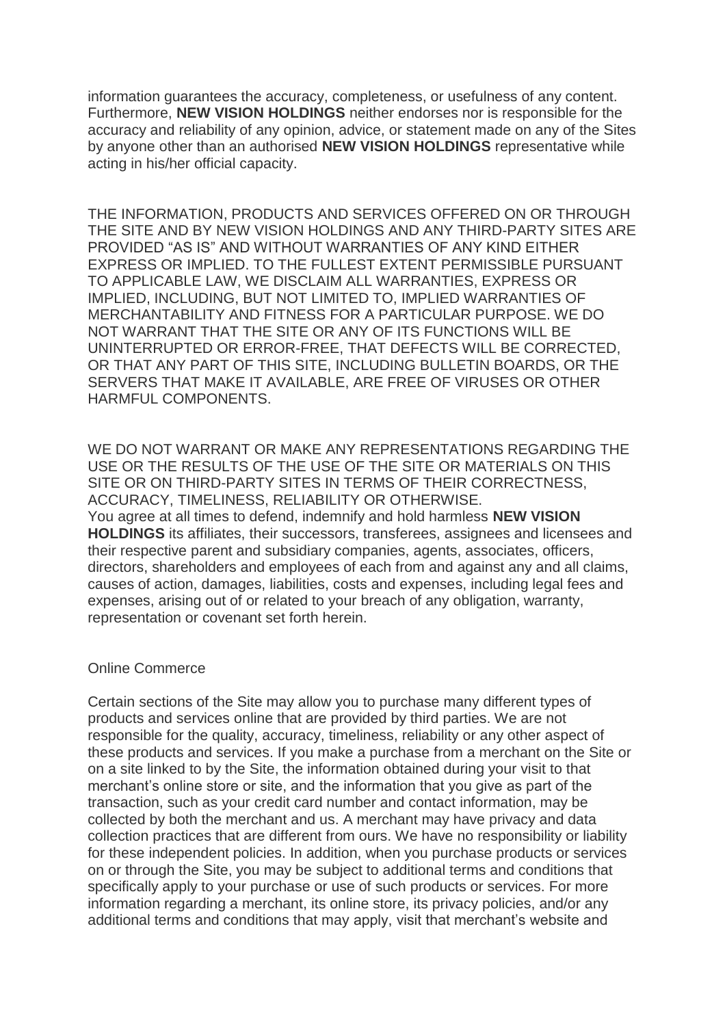information guarantees the accuracy, completeness, or usefulness of any content. Furthermore, **NEW VISION HOLDINGS** neither endorses nor is responsible for the accuracy and reliability of any opinion, advice, or statement made on any of the Sites by anyone other than an authorised **NEW VISION HOLDINGS** representative while acting in his/her official capacity.

THE INFORMATION, PRODUCTS AND SERVICES OFFERED ON OR THROUGH THE SITE AND BY NEW VISION HOLDINGS AND ANY THIRD-PARTY SITES ARE PROVIDED "AS IS" AND WITHOUT WARRANTIES OF ANY KIND EITHER EXPRESS OR IMPLIED. TO THE FULLEST EXTENT PERMISSIBLE PURSUANT TO APPLICABLE LAW, WE DISCLAIM ALL WARRANTIES, EXPRESS OR IMPLIED, INCLUDING, BUT NOT LIMITED TO, IMPLIED WARRANTIES OF MERCHANTABILITY AND FITNESS FOR A PARTICULAR PURPOSE. WE DO NOT WARRANT THAT THE SITE OR ANY OF ITS FUNCTIONS WILL BE UNINTERRUPTED OR ERROR-FREE, THAT DEFECTS WILL BE CORRECTED, OR THAT ANY PART OF THIS SITE, INCLUDING BULLETIN BOARDS, OR THE SERVERS THAT MAKE IT AVAILABLE, ARE FREE OF VIRUSES OR OTHER HARMFUL COMPONENTS.

WE DO NOT WARRANT OR MAKE ANY REPRESENTATIONS REGARDING THE USE OR THE RESULTS OF THE USE OF THE SITE OR MATERIALS ON THIS SITE OR ON THIRD-PARTY SITES IN TERMS OF THEIR CORRECTNESS, ACCURACY, TIMELINESS, RELIABILITY OR OTHERWISE. You agree at all times to defend, indemnify and hold harmless **NEW VISION HOLDINGS** its affiliates, their successors, transferees, assignees and licensees and their respective parent and subsidiary companies, agents, associates, officers, directors, shareholders and employees of each from and against any and all claims, causes of action, damages, liabilities, costs and expenses, including legal fees and expenses, arising out of or related to your breach of any obligation, warranty, representation or covenant set forth herein.

## Online Commerce

Certain sections of the Site may allow you to purchase many different types of products and services online that are provided by third parties. We are not responsible for the quality, accuracy, timeliness, reliability or any other aspect of these products and services. If you make a purchase from a merchant on the Site or on a site linked to by the Site, the information obtained during your visit to that merchant's online store or site, and the information that you give as part of the transaction, such as your credit card number and contact information, may be collected by both the merchant and us. A merchant may have privacy and data collection practices that are different from ours. We have no responsibility or liability for these independent policies. In addition, when you purchase products or services on or through the Site, you may be subject to additional terms and conditions that specifically apply to your purchase or use of such products or services. For more information regarding a merchant, its online store, its privacy policies, and/or any additional terms and conditions that may apply, visit that merchant's website and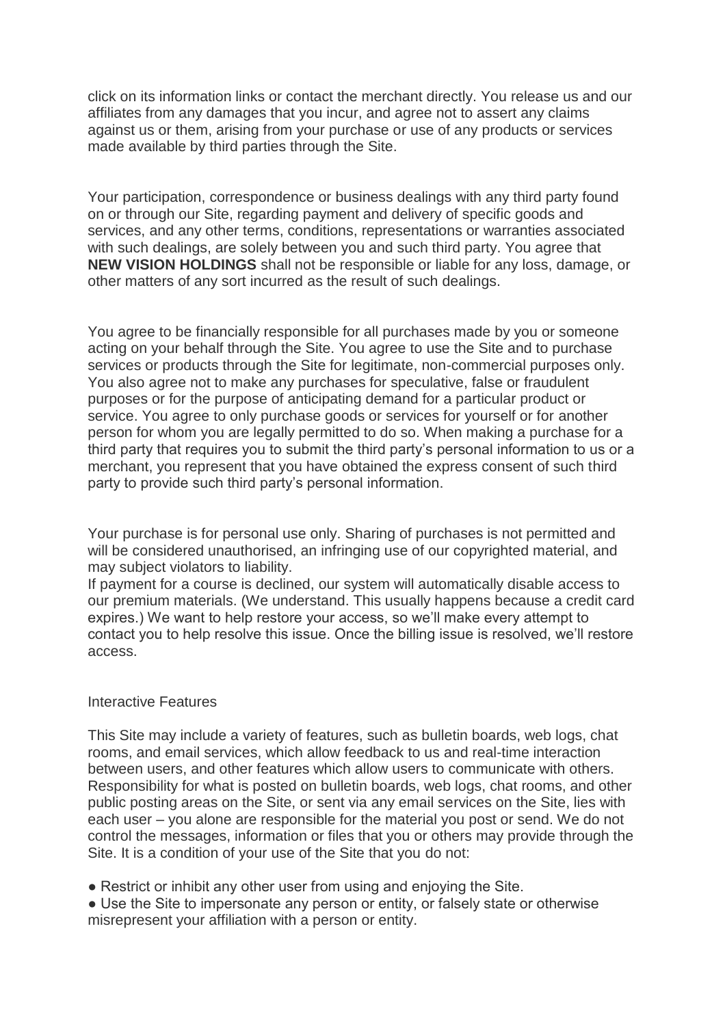click on its information links or contact the merchant directly. You release us and our affiliates from any damages that you incur, and agree not to assert any claims against us or them, arising from your purchase or use of any products or services made available by third parties through the Site.

Your participation, correspondence or business dealings with any third party found on or through our Site, regarding payment and delivery of specific goods and services, and any other terms, conditions, representations or warranties associated with such dealings, are solely between you and such third party. You agree that **NEW VISION HOLDINGS** shall not be responsible or liable for any loss, damage, or other matters of any sort incurred as the result of such dealings.

You agree to be financially responsible for all purchases made by you or someone acting on your behalf through the Site. You agree to use the Site and to purchase services or products through the Site for legitimate, non-commercial purposes only. You also agree not to make any purchases for speculative, false or fraudulent purposes or for the purpose of anticipating demand for a particular product or service. You agree to only purchase goods or services for yourself or for another person for whom you are legally permitted to do so. When making a purchase for a third party that requires you to submit the third party's personal information to us or a merchant, you represent that you have obtained the express consent of such third party to provide such third party's personal information.

Your purchase is for personal use only. Sharing of purchases is not permitted and will be considered unauthorised, an infringing use of our copyrighted material, and may subject violators to liability.

If payment for a course is declined, our system will automatically disable access to our premium materials. (We understand. This usually happens because a credit card expires.) We want to help restore your access, so we'll make every attempt to contact you to help resolve this issue. Once the billing issue is resolved, we'll restore access.

## Interactive Features

This Site may include a variety of features, such as bulletin boards, web logs, chat rooms, and email services, which allow feedback to us and real-time interaction between users, and other features which allow users to communicate with others. Responsibility for what is posted on bulletin boards, web logs, chat rooms, and other public posting areas on the Site, or sent via any email services on the Site, lies with each user – you alone are responsible for the material you post or send. We do not control the messages, information or files that you or others may provide through the Site. It is a condition of your use of the Site that you do not:

• Restrict or inhibit any other user from using and enjoying the Site.

• Use the Site to impersonate any person or entity, or falsely state or otherwise misrepresent your affiliation with a person or entity.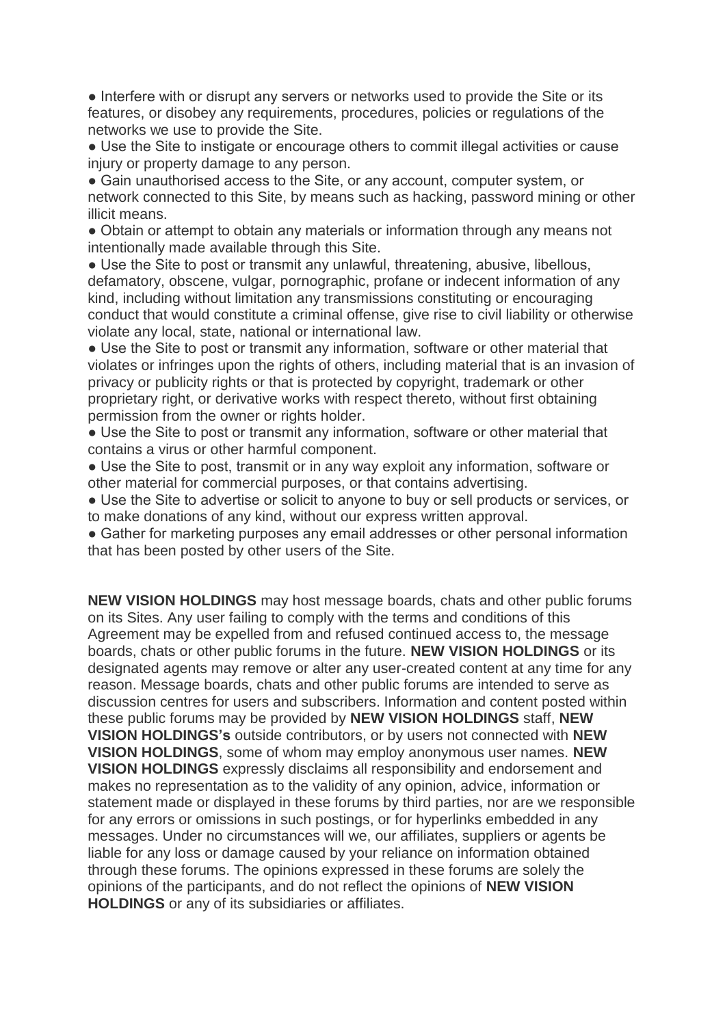• Interfere with or disrupt any servers or networks used to provide the Site or its features, or disobey any requirements, procedures, policies or regulations of the networks we use to provide the Site.

● Use the Site to instigate or encourage others to commit illegal activities or cause injury or property damage to any person.

• Gain unauthorised access to the Site, or any account, computer system, or network connected to this Site, by means such as hacking, password mining or other illicit means.

• Obtain or attempt to obtain any materials or information through any means not intentionally made available through this Site.

• Use the Site to post or transmit any unlawful, threatening, abusive, libellous, defamatory, obscene, vulgar, pornographic, profane or indecent information of any kind, including without limitation any transmissions constituting or encouraging conduct that would constitute a criminal offense, give rise to civil liability or otherwise violate any local, state, national or international law.

• Use the Site to post or transmit any information, software or other material that violates or infringes upon the rights of others, including material that is an invasion of privacy or publicity rights or that is protected by copyright, trademark or other proprietary right, or derivative works with respect thereto, without first obtaining permission from the owner or rights holder.

• Use the Site to post or transmit any information, software or other material that contains a virus or other harmful component.

• Use the Site to post, transmit or in any way exploit any information, software or other material for commercial purposes, or that contains advertising.

• Use the Site to advertise or solicit to anyone to buy or sell products or services, or to make donations of any kind, without our express written approval.

• Gather for marketing purposes any email addresses or other personal information that has been posted by other users of the Site.

**NEW VISION HOLDINGS** may host message boards, chats and other public forums on its Sites. Any user failing to comply with the terms and conditions of this Agreement may be expelled from and refused continued access to, the message boards, chats or other public forums in the future. **NEW VISION HOLDINGS** or its designated agents may remove or alter any user-created content at any time for any reason. Message boards, chats and other public forums are intended to serve as discussion centres for users and subscribers. Information and content posted within these public forums may be provided by **NEW VISION HOLDINGS** staff, **NEW VISION HOLDINGS's** outside contributors, or by users not connected with **NEW VISION HOLDINGS**, some of whom may employ anonymous user names. **NEW VISION HOLDINGS** expressly disclaims all responsibility and endorsement and makes no representation as to the validity of any opinion, advice, information or statement made or displayed in these forums by third parties, nor are we responsible for any errors or omissions in such postings, or for hyperlinks embedded in any messages. Under no circumstances will we, our affiliates, suppliers or agents be liable for any loss or damage caused by your reliance on information obtained through these forums. The opinions expressed in these forums are solely the opinions of the participants, and do not reflect the opinions of **NEW VISION HOLDINGS** or any of its subsidiaries or affiliates.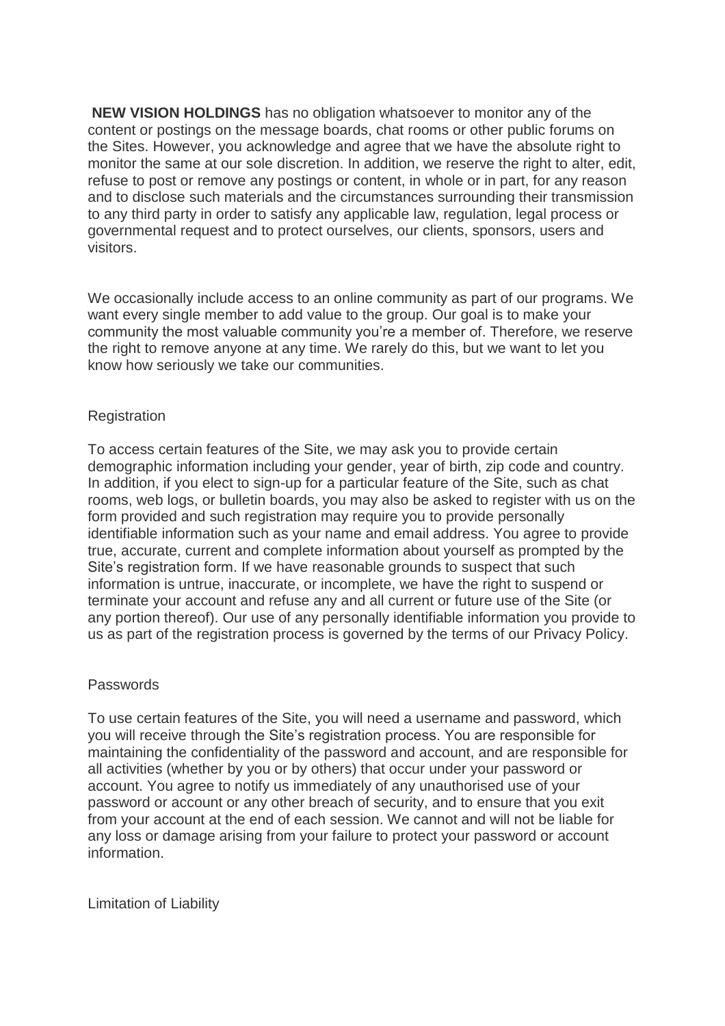**NEW VISION HOLDINGS** has no obligation whatsoever to monitor any of the content or postings on the message boards, chat rooms or other public forums on the Sites. However, you acknowledge and agree that we have the absolute right to monitor the same at our sole discretion. In addition, we reserve the right to alter, edit, refuse to post or remove any postings or content, in whole or in part, for any reason and to disclose such materials and the circumstances surrounding their transmission to any third party in order to satisfy any applicable law, regulation, legal process or governmental request and to protect ourselves, our clients, sponsors, users and visitors.

We occasionally include access to an online community as part of our programs. We want every single member to add value to the group. Our goal is to make your community the most valuable community you're a member of. Therefore, we reserve the right to remove anyone at any time. We rarely do this, but we want to let you know how seriously we take our communities.

## Registration

To access certain features of the Site, we may ask you to provide certain demographic information including your gender, year of birth, zip code and country. In addition, if you elect to sign-up for a particular feature of the Site, such as chat rooms, web logs, or bulletin boards, you may also be asked to register with us on the form provided and such registration may require you to provide personally identifiable information such as your name and email address. You agree to provide true, accurate, current and complete information about yourself as prompted by the Site's registration form. If we have reasonable grounds to suspect that such information is untrue, inaccurate, or incomplete, we have the right to suspend or terminate your account and refuse any and all current or future use of the Site (or any portion thereof). Our use of any personally identifiable information you provide to us as part of the registration process is governed by the terms of our Privacy Policy.

## Passwords

To use certain features of the Site, you will need a username and password, which you will receive through the Site's registration process. You are responsible for maintaining the confidentiality of the password and account, and are responsible for all activities (whether by you or by others) that occur under your password or account. You agree to notify us immediately of any unauthorised use of your password or account or any other breach of security, and to ensure that you exit from your account at the end of each session. We cannot and will not be liable for any loss or damage arising from your failure to protect your password or account information.

Limitation of Liability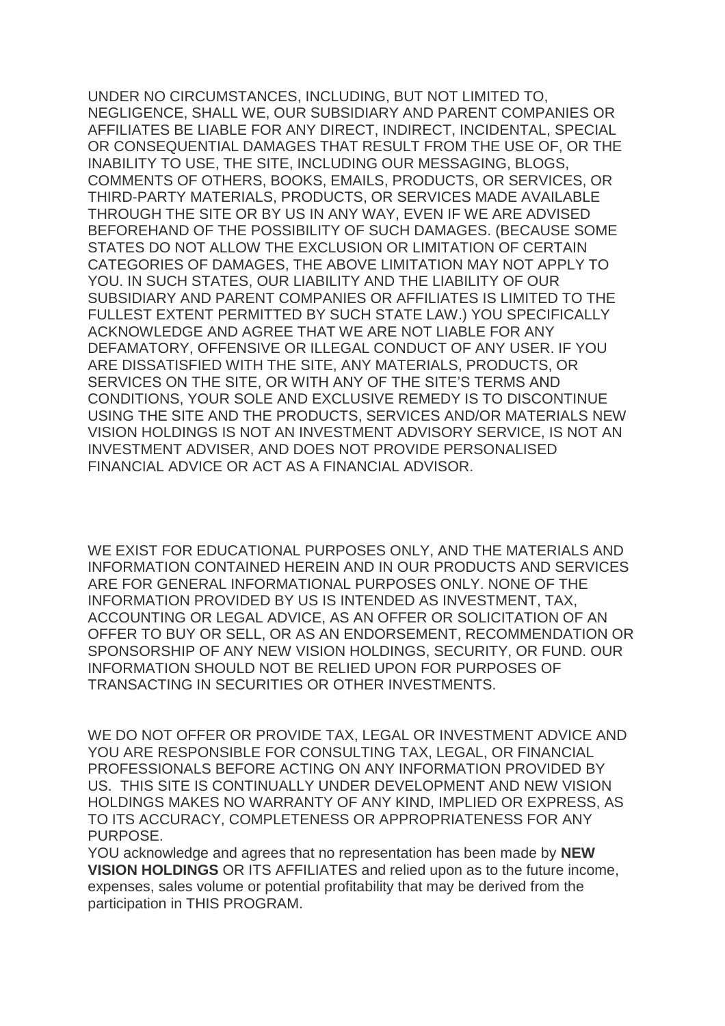UNDER NO CIRCUMSTANCES, INCLUDING, BUT NOT LIMITED TO, NEGLIGENCE, SHALL WE, OUR SUBSIDIARY AND PARENT COMPANIES OR AFFILIATES BE LIABLE FOR ANY DIRECT, INDIRECT, INCIDENTAL, SPECIAL OR CONSEQUENTIAL DAMAGES THAT RESULT FROM THE USE OF, OR THE INABILITY TO USE, THE SITE, INCLUDING OUR MESSAGING, BLOGS, COMMENTS OF OTHERS, BOOKS, EMAILS, PRODUCTS, OR SERVICES, OR THIRD-PARTY MATERIALS, PRODUCTS, OR SERVICES MADE AVAILABLE THROUGH THE SITE OR BY US IN ANY WAY, EVEN IF WE ARE ADVISED BEFOREHAND OF THE POSSIBILITY OF SUCH DAMAGES. (BECAUSE SOME STATES DO NOT ALLOW THE EXCLUSION OR LIMITATION OF CERTAIN CATEGORIES OF DAMAGES, THE ABOVE LIMITATION MAY NOT APPLY TO YOU. IN SUCH STATES, OUR LIABILITY AND THE LIABILITY OF OUR SUBSIDIARY AND PARENT COMPANIES OR AFFILIATES IS LIMITED TO THE FULLEST EXTENT PERMITTED BY SUCH STATE LAW.) YOU SPECIFICALLY ACKNOWLEDGE AND AGREE THAT WE ARE NOT LIABLE FOR ANY DEFAMATORY, OFFENSIVE OR ILLEGAL CONDUCT OF ANY USER. IF YOU ARE DISSATISFIED WITH THE SITE, ANY MATERIALS, PRODUCTS, OR SERVICES ON THE SITE, OR WITH ANY OF THE SITE'S TERMS AND CONDITIONS, YOUR SOLE AND EXCLUSIVE REMEDY IS TO DISCONTINUE USING THE SITE AND THE PRODUCTS, SERVICES AND/OR MATERIALS NEW VISION HOLDINGS IS NOT AN INVESTMENT ADVISORY SERVICE, IS NOT AN INVESTMENT ADVISER, AND DOES NOT PROVIDE PERSONALISED FINANCIAL ADVICE OR ACT AS A FINANCIAL ADVISOR.

WE EXIST FOR EDUCATIONAL PURPOSES ONLY, AND THE MATERIALS AND INFORMATION CONTAINED HEREIN AND IN OUR PRODUCTS AND SERVICES ARE FOR GENERAL INFORMATIONAL PURPOSES ONLY. NONE OF THE INFORMATION PROVIDED BY US IS INTENDED AS INVESTMENT, TAX, ACCOUNTING OR LEGAL ADVICE, AS AN OFFER OR SOLICITATION OF AN OFFER TO BUY OR SELL, OR AS AN ENDORSEMENT, RECOMMENDATION OR SPONSORSHIP OF ANY NEW VISION HOLDINGS, SECURITY, OR FUND. OUR INFORMATION SHOULD NOT BE RELIED UPON FOR PURPOSES OF TRANSACTING IN SECURITIES OR OTHER INVESTMENTS.

WE DO NOT OFFER OR PROVIDE TAX, LEGAL OR INVESTMENT ADVICE AND YOU ARE RESPONSIBLE FOR CONSULTING TAX, LEGAL, OR FINANCIAL PROFESSIONALS BEFORE ACTING ON ANY INFORMATION PROVIDED BY US. THIS SITE IS CONTINUALLY UNDER DEVELOPMENT AND NEW VISION HOLDINGS MAKES NO WARRANTY OF ANY KIND, IMPLIED OR EXPRESS, AS TO ITS ACCURACY, COMPLETENESS OR APPROPRIATENESS FOR ANY PURPOSE.

YOU acknowledge and agrees that no representation has been made by **NEW VISION HOLDINGS** OR ITS AFFILIATES and relied upon as to the future income, expenses, sales volume or potential profitability that may be derived from the participation in THIS PROGRAM.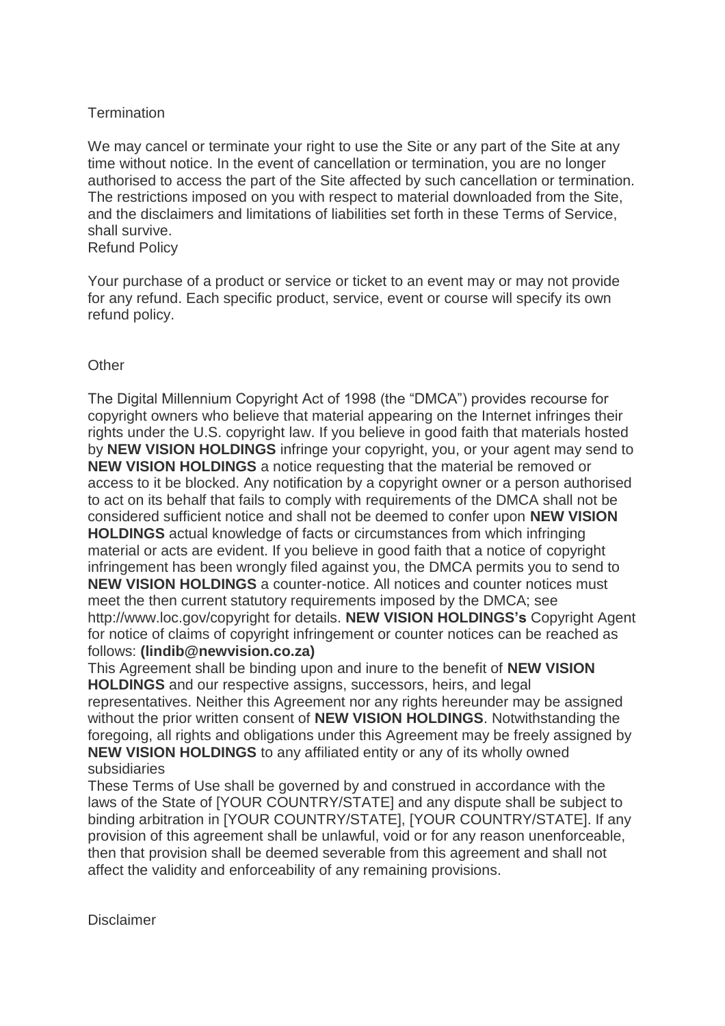# **Termination**

We may cancel or terminate your right to use the Site or any part of the Site at any time without notice. In the event of cancellation or termination, you are no longer authorised to access the part of the Site affected by such cancellation or termination. The restrictions imposed on you with respect to material downloaded from the Site, and the disclaimers and limitations of liabilities set forth in these Terms of Service, shall survive. Refund Policy

Your purchase of a product or service or ticket to an event may or may not provide for any refund. Each specific product, service, event or course will specify its own refund policy.

# **Other**

The Digital Millennium Copyright Act of 1998 (the "DMCA") provides recourse for copyright owners who believe that material appearing on the Internet infringes their rights under the U.S. copyright law. If you believe in good faith that materials hosted by **NEW VISION HOLDINGS** infringe your copyright, you, or your agent may send to **NEW VISION HOLDINGS** a notice requesting that the material be removed or access to it be blocked. Any notification by a copyright owner or a person authorised to act on its behalf that fails to comply with requirements of the DMCA shall not be considered sufficient notice and shall not be deemed to confer upon **NEW VISION HOLDINGS** actual knowledge of facts or circumstances from which infringing material or acts are evident. If you believe in good faith that a notice of copyright infringement has been wrongly filed against you, the DMCA permits you to send to **NEW VISION HOLDINGS** a counter-notice. All notices and counter notices must meet the then current statutory requirements imposed by the DMCA; see http://www.loc.gov/copyright for details. **NEW VISION HOLDINGS's** Copyright Agent for notice of claims of copyright infringement or counter notices can be reached as follows: **(lindib@newvision.co.za)**

This Agreement shall be binding upon and inure to the benefit of **NEW VISION HOLDINGS** and our respective assigns, successors, heirs, and legal representatives. Neither this Agreement nor any rights hereunder may be assigned without the prior written consent of **NEW VISION HOLDINGS**. Notwithstanding the foregoing, all rights and obligations under this Agreement may be freely assigned by **NEW VISION HOLDINGS** to any affiliated entity or any of its wholly owned subsidiaries

These Terms of Use shall be governed by and construed in accordance with the laws of the State of [YOUR COUNTRY/STATE] and any dispute shall be subject to binding arbitration in [YOUR COUNTRY/STATE], [YOUR COUNTRY/STATE]. If any provision of this agreement shall be unlawful, void or for any reason unenforceable, then that provision shall be deemed severable from this agreement and shall not affect the validity and enforceability of any remaining provisions.